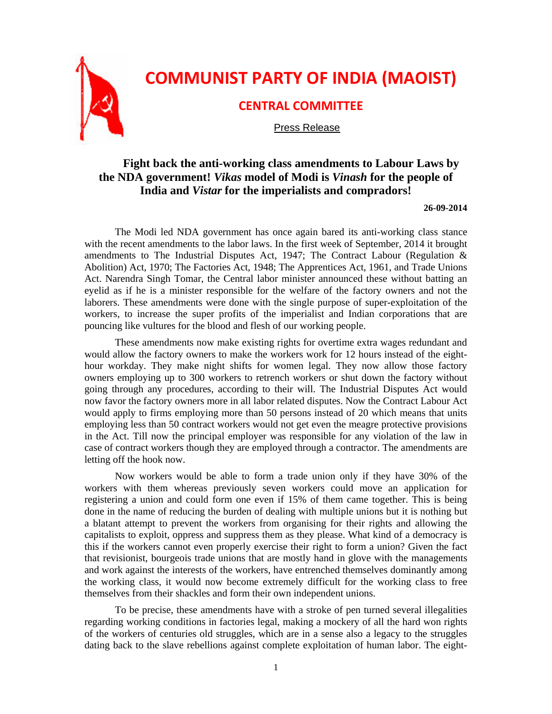

## **Fight back the anti-working class amendments to Labour Laws by the NDA government!** *Vikas* **model of Modi is** *Vinash* **for the people of India and** *Vistar* **for the imperialists and compradors!**

## **26-09-2014**

The Modi led NDA government has once again bared its anti-working class stance with the recent amendments to the labor laws. In the first week of September, 2014 it brought amendments to The Industrial Disputes Act, 1947; The Contract Labour (Regulation & Abolition) Act, 1970; The Factories Act, 1948; The Apprentices Act, 1961, and Trade Unions Act. Narendra Singh Tomar, the Central labor minister announced these without batting an eyelid as if he is a minister responsible for the welfare of the factory owners and not the laborers. These amendments were done with the single purpose of super-exploitation of the workers, to increase the super profits of the imperialist and Indian corporations that are pouncing like vultures for the blood and flesh of our working people.

These amendments now make existing rights for overtime extra wages redundant and would allow the factory owners to make the workers work for 12 hours instead of the eighthour workday. They make night shifts for women legal. They now allow those factory owners employing up to 300 workers to retrench workers or shut down the factory without going through any procedures, according to their will. The Industrial Disputes Act would now favor the factory owners more in all labor related disputes. Now the Contract Labour Act would apply to firms employing more than 50 persons instead of 20 which means that units employing less than 50 contract workers would not get even the meagre protective provisions in the Act. Till now the principal employer was responsible for any violation of the law in case of contract workers though they are employed through a contractor. The amendments are letting off the hook now.

Now workers would be able to form a trade union only if they have 30% of the workers with them whereas previously seven workers could move an application for registering a union and could form one even if 15% of them came together. This is being done in the name of reducing the burden of dealing with multiple unions but it is nothing but a blatant attempt to prevent the workers from organising for their rights and allowing the capitalists to exploit, oppress and suppress them as they please. What kind of a democracy is this if the workers cannot even properly exercise their right to form a union? Given the fact that revisionist, bourgeois trade unions that are mostly hand in glove with the managements and work against the interests of the workers, have entrenched themselves dominantly among the working class, it would now become extremely difficult for the working class to free themselves from their shackles and form their own independent unions.

To be precise, these amendments have with a stroke of pen turned several illegalities regarding working conditions in factories legal, making a mockery of all the hard won rights of the workers of centuries old struggles, which are in a sense also a legacy to the struggles dating back to the slave rebellions against complete exploitation of human labor. The eight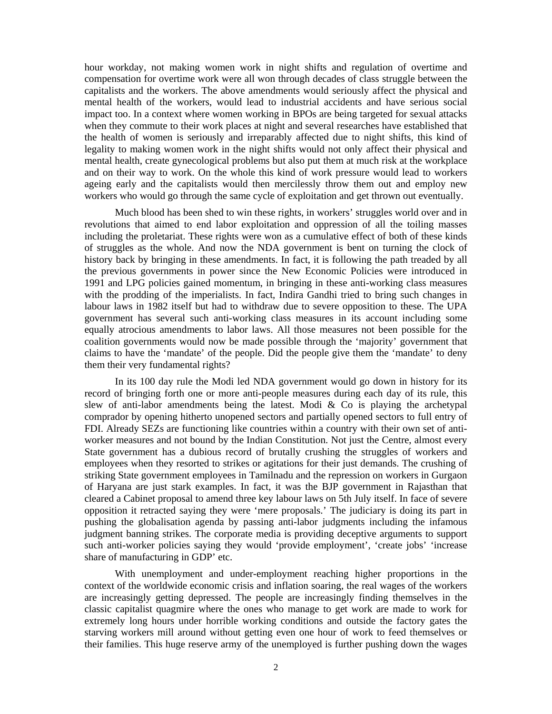hour workday, not making women work in night shifts and regulation of overtime and compensation for overtime work were all won through decades of class struggle between the capitalists and the workers. The above amendments would seriously affect the physical and mental health of the workers, would lead to industrial accidents and have serious social impact too. In a context where women working in BPOs are being targeted for sexual attacks when they commute to their work places at night and several researches have established that the health of women is seriously and irreparably affected due to night shifts, this kind of legality to making women work in the night shifts would not only affect their physical and mental health, create gynecological problems but also put them at much risk at the workplace and on their way to work. On the whole this kind of work pressure would lead to workers ageing early and the capitalists would then mercilessly throw them out and employ new workers who would go through the same cycle of exploitation and get thrown out eventually.

Much blood has been shed to win these rights, in workers' struggles world over and in revolutions that aimed to end labor exploitation and oppression of all the toiling masses including the proletariat. These rights were won as a cumulative effect of both of these kinds of struggles as the whole. And now the NDA government is bent on turning the clock of history back by bringing in these amendments. In fact, it is following the path treaded by all the previous governments in power since the New Economic Policies were introduced in 1991 and LPG policies gained momentum, in bringing in these anti-working class measures with the prodding of the imperialists. In fact, Indira Gandhi tried to bring such changes in labour laws in 1982 itself but had to withdraw due to severe opposition to these. The UPA government has several such anti-working class measures in its account including some equally atrocious amendments to labor laws. All those measures not been possible for the coalition governments would now be made possible through the 'majority' government that claims to have the 'mandate' of the people. Did the people give them the 'mandate' to deny them their very fundamental rights?

In its 100 day rule the Modi led NDA government would go down in history for its record of bringing forth one or more anti-people measures during each day of its rule, this slew of anti-labor amendments being the latest. Modi  $&$  Co is playing the archetypal comprador by opening hitherto unopened sectors and partially opened sectors to full entry of FDI. Already SEZs are functioning like countries within a country with their own set of antiworker measures and not bound by the Indian Constitution. Not just the Centre, almost every State government has a dubious record of brutally crushing the struggles of workers and employees when they resorted to strikes or agitations for their just demands. The crushing of striking State government employees in Tamilnadu and the repression on workers in Gurgaon of Haryana are just stark examples. In fact, it was the BJP government in Rajasthan that cleared a Cabinet proposal to amend three key labour laws on 5th July itself. In face of severe opposition it retracted saying they were 'mere proposals.' The judiciary is doing its part in pushing the globalisation agenda by passing anti-labor judgments including the infamous judgment banning strikes. The corporate media is providing deceptive arguments to support such anti-worker policies saying they would 'provide employment', 'create jobs' 'increase share of manufacturing in GDP' etc.

With unemployment and under-employment reaching higher proportions in the context of the worldwide economic crisis and inflation soaring, the real wages of the workers are increasingly getting depressed. The people are increasingly finding themselves in the classic capitalist quagmire where the ones who manage to get work are made to work for extremely long hours under horrible working conditions and outside the factory gates the starving workers mill around without getting even one hour of work to feed themselves or their families. This huge reserve army of the unemployed is further pushing down the wages